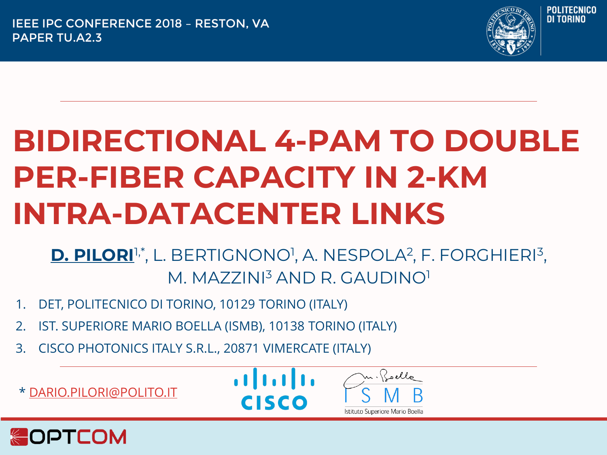

# **BIDIRECTIONAL 4-PAM TO DOUBLE PER-FIBER CAPACITY IN 2-KM INTRA-DATACENTER LINKS**

D. PILORI<sup>I,\*</sup>, L. BERTIGNONO<sup>1</sup>, A. NESPOLA<sup>2</sup>, F. FORGHIERI<sup>3</sup>, M. MAZZINI<sup>3</sup> AND R. GAUDINO<sup>1</sup>

- 1. DET, POLITECNICO DI TORINO, 10129 TORINO (ITALY)
- 2. IST. SUPERIORE MARIO BOELLA (ISMB), 10138 TORINO (ITALY)
- 3. CISCO PHOTONICS ITALY S.R.L., 20871 VIMERCATE (ITALY)

\* [DARIO.PILORI@POLITO.IT](mailto:dario.pilori@polito.it)





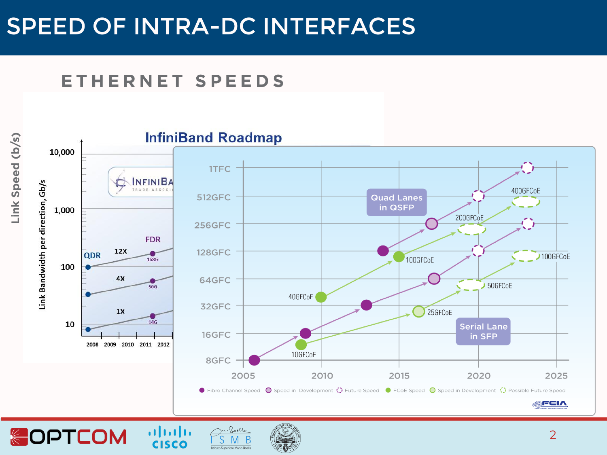#### SPEED OF INTRA-DC INTERFACES

#### ETHERNET SPEEDS

**SOPTCOM** 

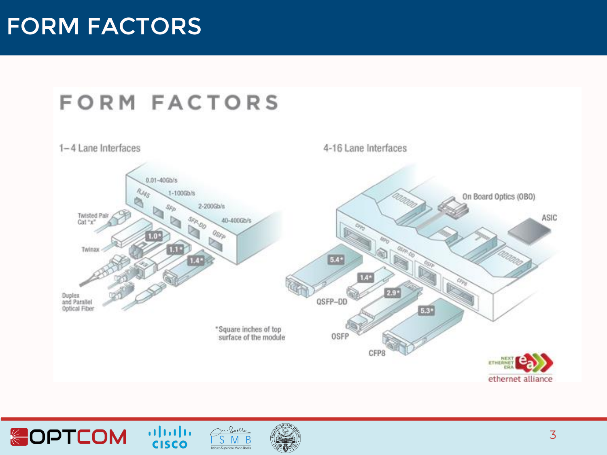#### FORM FACTORS





 $\frac{1}{2}$ 

Belle

Istituto Superiore Mario Boella

<sup>B</sup>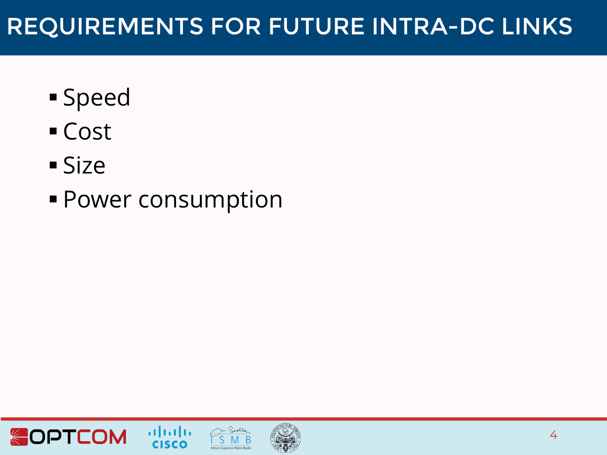### REQUIREMENTS FOR FUTURE INTRA-DC LINKS

- Speed
- Cost
- Size
- Power consumption





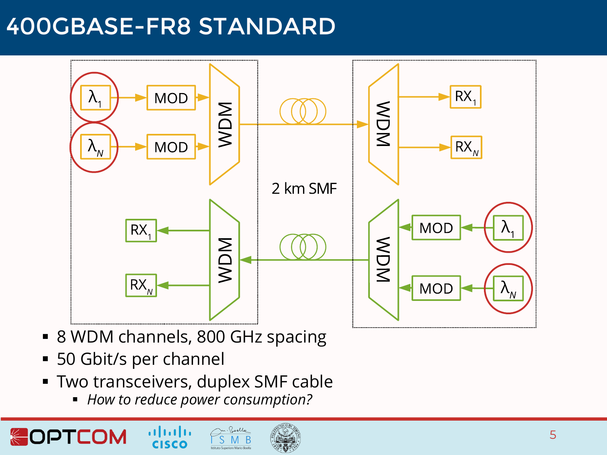#### 400GBASE-FR8 STANDARD



- 8 WDM channels, 800 GHz spacing
- 50 Gbit/s per channel
- **Two transceivers, duplex SMF cable**

ahah **CISCO** 

▪ *How to reduce power consumption?*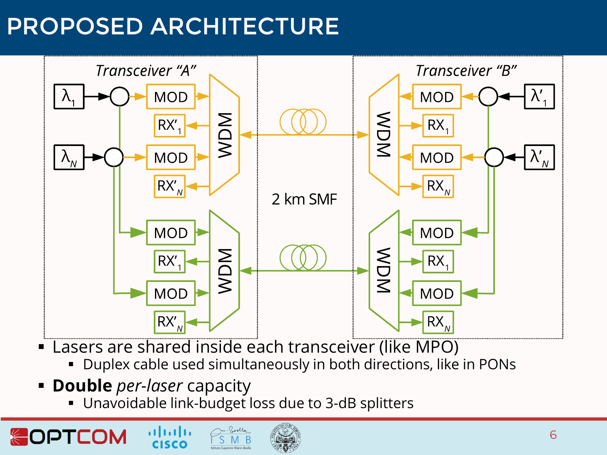# PROPOSED ARCHITECTURE



- Lasers are shared inside each transceiver (like MPO)
	- Duplex cable used simultaneously in both directions, like in PONs
- **Double** *per-laser* capacity

alnılı **CISCO** 

Unavoidable link-budget loss due to 3-dB splitters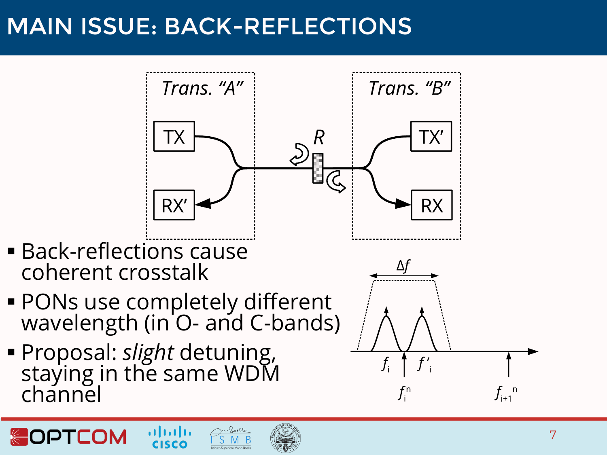# MAIN ISSUE: BACK-REFLECTIONS



- **Back-reflections cause** coherent crosstalk
- **PONs use completely different** wavelength (in O- and C-bands)
- Proposal: *slight* detuning, staying in the same WDM channel

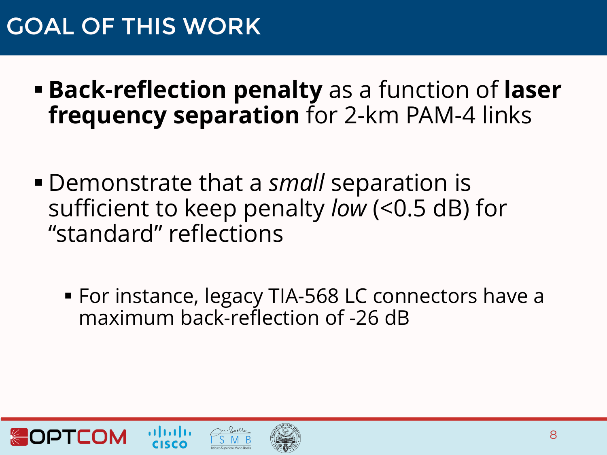## GOAL OF THIS WORK

- **Back-reflection penalty** as a function of **laser frequency separation** for 2-km PAM-4 links
- Demonstrate that a *small* separation is sufficient to keep penalty *low* (<0.5 dB) for "standard" reflections
	- For instance, legacy TIA-568 LC connectors have a maximum back-reflection of -26 dB





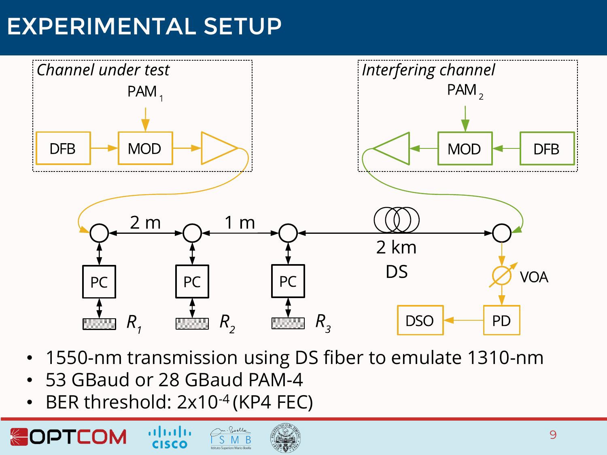# EXPERIMENTAL SETUP



- 1550-nm transmission using DS fiber to emulate 1310-nm
- 53 GBaud or 28 GBaud PAM-4
- BER threshold: 2x10<sup>-4</sup> (KP4 FEC)

almh

OPTCOM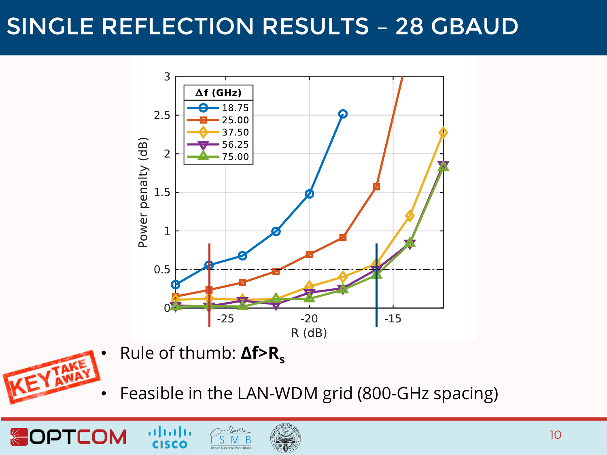## SINGLE REFLECTION RESULTS – 28 GBAUD



- Rule of thumb: **Δf>R<sup>s</sup> KEY IAME** 
	- Feasible in the LAN-WDM grid (800-GHz spacing)





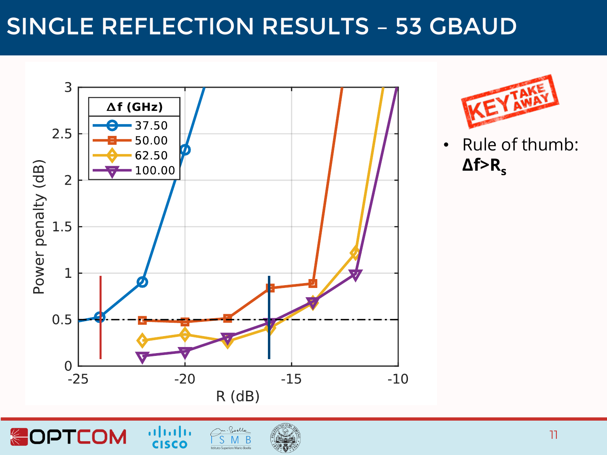### SINGLE REFLECTION RESULTS – 53 GBAUD



**OPTCOM** 



• Rule of thumb: **Δf>Rs**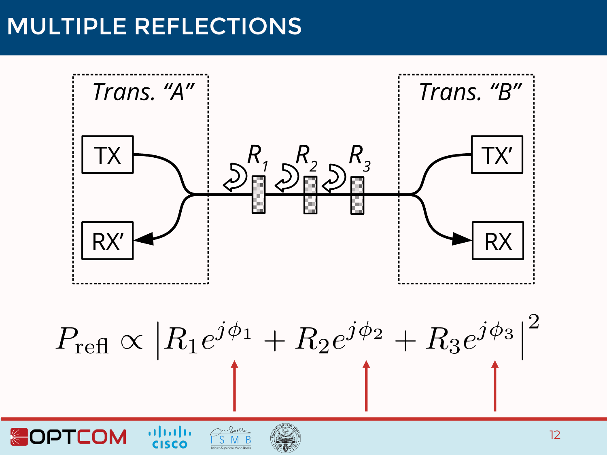#### MULTIPLE REFLECTIONS

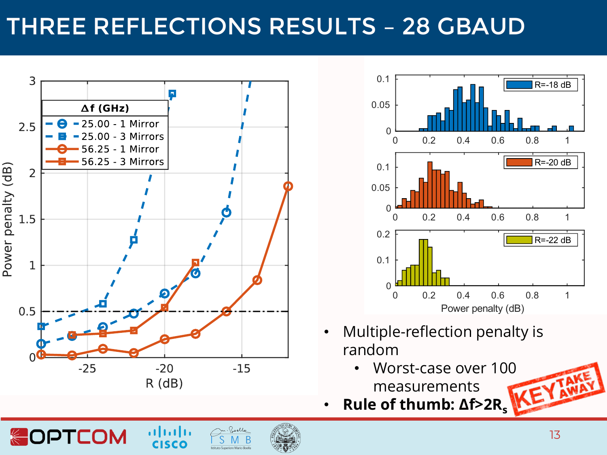# THREE REFLECTIONS RESULTS – 28 GBAUD



 $\alpha$ lada

**CISCO** 

**SOPTCOM** 



- Multiple-reflection penalty is random
	- Worst-case over 100 measurements
- **Rule of thumb: Δf>2R<sup>s</sup>**

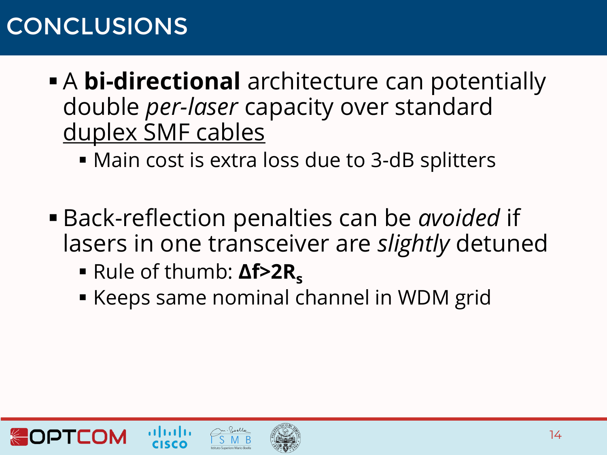# CONCLUSIONS

- **A bi-directional** architecture can potentially double *per-laser* capacity over standard duplex SMF cables
	- Main cost is extra loss due to 3-dB splitters
- Back-reflection penalties can be *avoided* if lasers in one transceiver are *slightly* detuned
	- Rule of thumb: **Δf>2R**<sub>s</sub>
	- Keeps same nominal channel in WDM grid